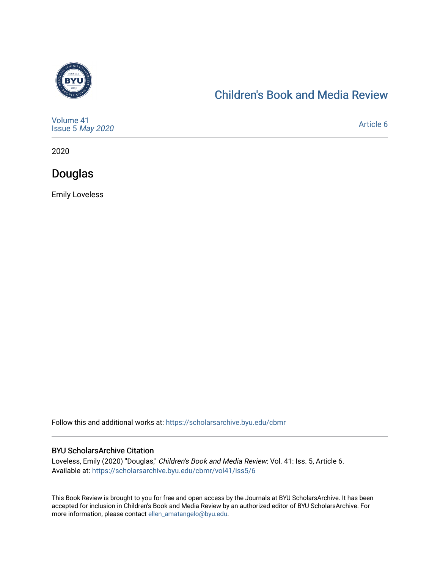

#### [Children's Book and Media Review](https://scholarsarchive.byu.edu/cbmr)

| Volume 41<br>Issue 5 May 2020 | Article 6 |
|-------------------------------|-----------|
|-------------------------------|-----------|

2020

Douglas

Emily Loveless

Follow this and additional works at: [https://scholarsarchive.byu.edu/cbmr](https://scholarsarchive.byu.edu/cbmr?utm_source=scholarsarchive.byu.edu%2Fcbmr%2Fvol41%2Fiss5%2F6&utm_medium=PDF&utm_campaign=PDFCoverPages) 

#### BYU ScholarsArchive Citation

Loveless, Emily (2020) "Douglas," Children's Book and Media Review: Vol. 41: Iss. 5, Article 6. Available at: [https://scholarsarchive.byu.edu/cbmr/vol41/iss5/6](https://scholarsarchive.byu.edu/cbmr/vol41/iss5/6?utm_source=scholarsarchive.byu.edu%2Fcbmr%2Fvol41%2Fiss5%2F6&utm_medium=PDF&utm_campaign=PDFCoverPages) 

This Book Review is brought to you for free and open access by the Journals at BYU ScholarsArchive. It has been accepted for inclusion in Children's Book and Media Review by an authorized editor of BYU ScholarsArchive. For more information, please contact [ellen\\_amatangelo@byu.edu.](mailto:ellen_amatangelo@byu.edu)